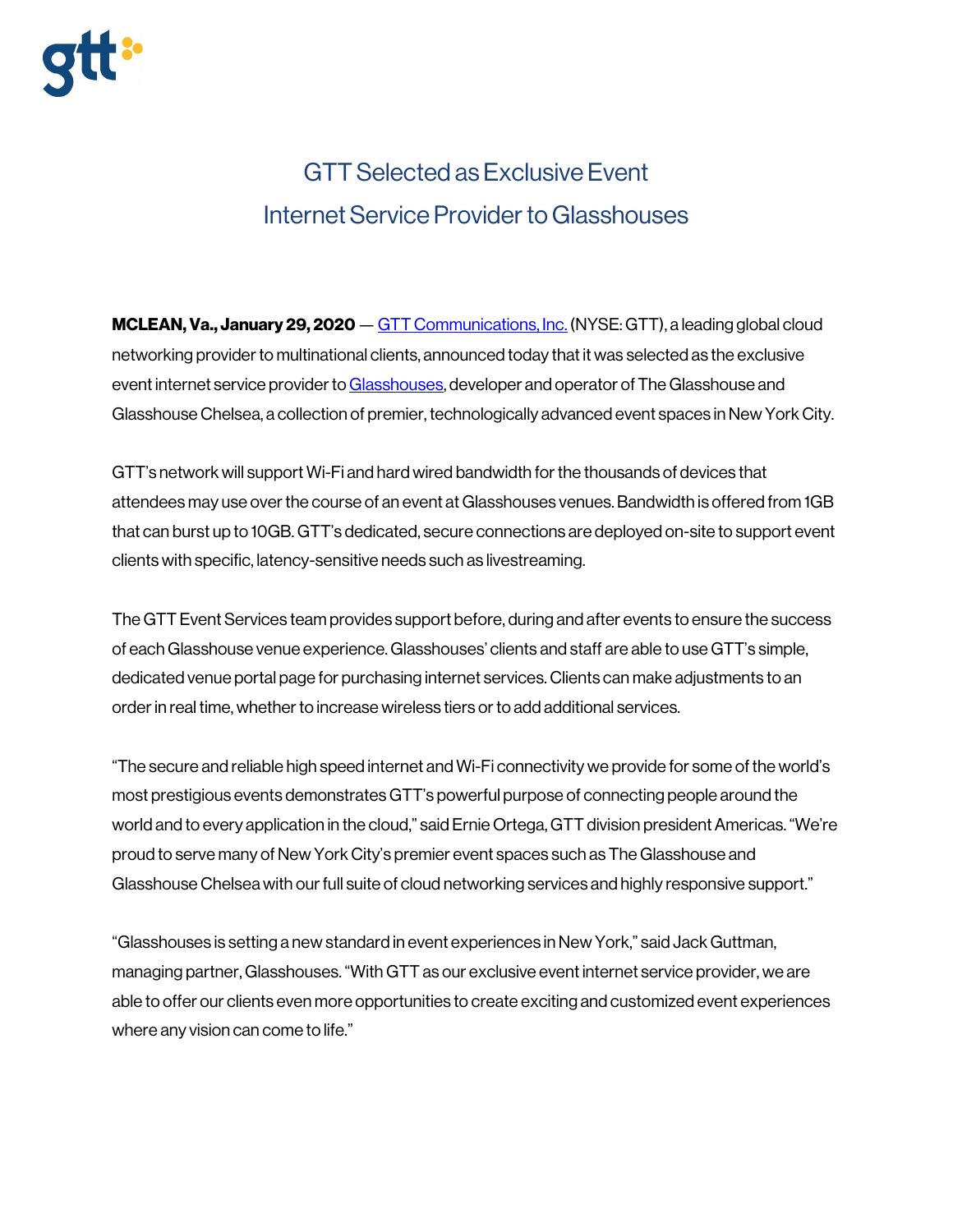

# GTT Selected as Exclusive Event **Internet Service Provider to Glasshouses**

MCLEAN, Va., January 29, 2020[— GTT Communications, Inc.](https://www.gtt.net/) (NYSE: GTT), a leading global cloud networking provider to multinational clients, announced today that it was selected as the exclusive event internet service provider t[o Glasshouses,](https://theglasshouses.com/) developer and operator of The Glasshouse and Glasshouse Chelsea, a collection of premier, technologically advanced event spaces in New York City.

GTT's network will support Wi-Fi and hard wired bandwidth for the thousands of devices that attendees may use over the course of an event at Glasshouses venues. Bandwidth is offered from1GB that can burst up to 10GB. GTT's dedicated, secure connections are deployed on-site to support event clients with specific, latency-sensitive needs such as livestreaming.

The GTT Event Services team provides support before, during and after events to ensure the success of each Glasshouse venue experience. Glasshouses' clients and staff are able to use GTT's simple, dedicated venue portal page for purchasing internet services. Clients can make adjustments to an order in real time, whether to increase wireless tiers or to add additional services.

"The secure and reliable high speed internet and Wi-Fi connectivity we provide for some of the world's most prestigious events demonstrates GTT's powerful purpose of connecting people around the world and to every application in the cloud," said Ernie Ortega, GTT division president Americas. "We're proud to serve many of New York City's premier event spaces such as The Glasshouse and Glasshouse Chelsea with our full suite of cloud networking services and highly responsive support."

"Glasshouses is setting a new standard in event experiences in New York," said Jack Guttman, managing partner, Glasshouses. "With GTT as our exclusive event internet service provider, we are able to offer our clients even more opportunities to create exciting and customized event experiences where any vision can come to life."